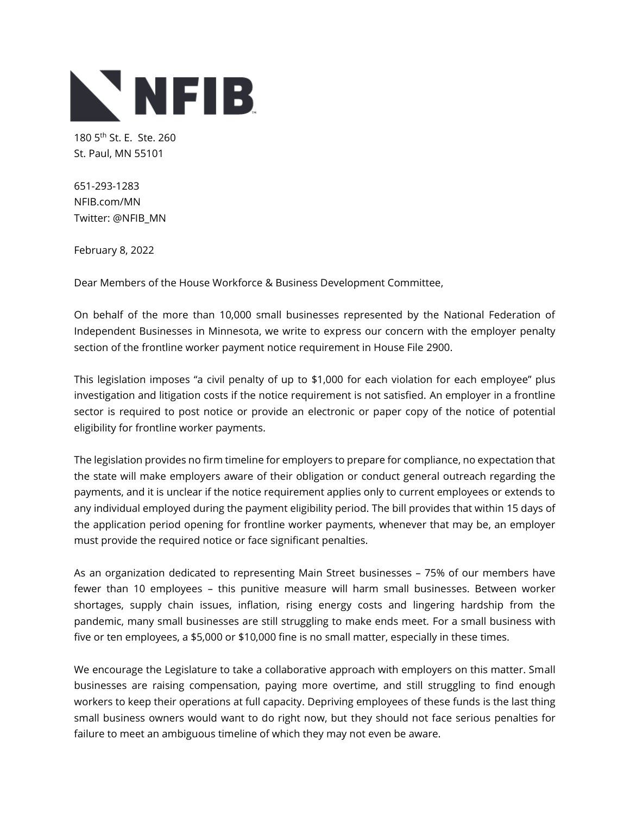

180 5th St. E. Ste. 260 St. Paul, MN 55101

651-293-1283 NFIB.com/MN Twitter: @NFIB\_MN

February 8, 2022

Dear Members of the House Workforce & Business Development Committee,

On behalf of the more than 10,000 small businesses represented by the National Federation of Independent Businesses in Minnesota, we write to express our concern with the employer penalty section of the frontline worker payment notice requirement in House File 2900.

This legislation imposes "a civil penalty of up to \$1,000 for each violation for each employee" plus investigation and litigation costs if the notice requirement is not satisfied. An employer in a frontline sector is required to post notice or provide an electronic or paper copy of the notice of potential eligibility for frontline worker payments.

The legislation provides no firm timeline for employers to prepare for compliance, no expectation that the state will make employers aware of their obligation or conduct general outreach regarding the payments, and it is unclear if the notice requirement applies only to current employees or extends to any individual employed during the payment eligibility period. The bill provides that within 15 days of the application period opening for frontline worker payments, whenever that may be, an employer must provide the required notice or face significant penalties.

As an organization dedicated to representing Main Street businesses – 75% of our members have fewer than 10 employees – this punitive measure will harm small businesses. Between worker shortages, supply chain issues, inflation, rising energy costs and lingering hardship from the pandemic, many small businesses are still struggling to make ends meet. For a small business with five or ten employees, a \$5,000 or \$10,000 fine is no small matter, especially in these times.

We encourage the Legislature to take a collaborative approach with employers on this matter. Small businesses are raising compensation, paying more overtime, and still struggling to find enough workers to keep their operations at full capacity. Depriving employees of these funds is the last thing small business owners would want to do right now, but they should not face serious penalties for failure to meet an ambiguous timeline of which they may not even be aware.